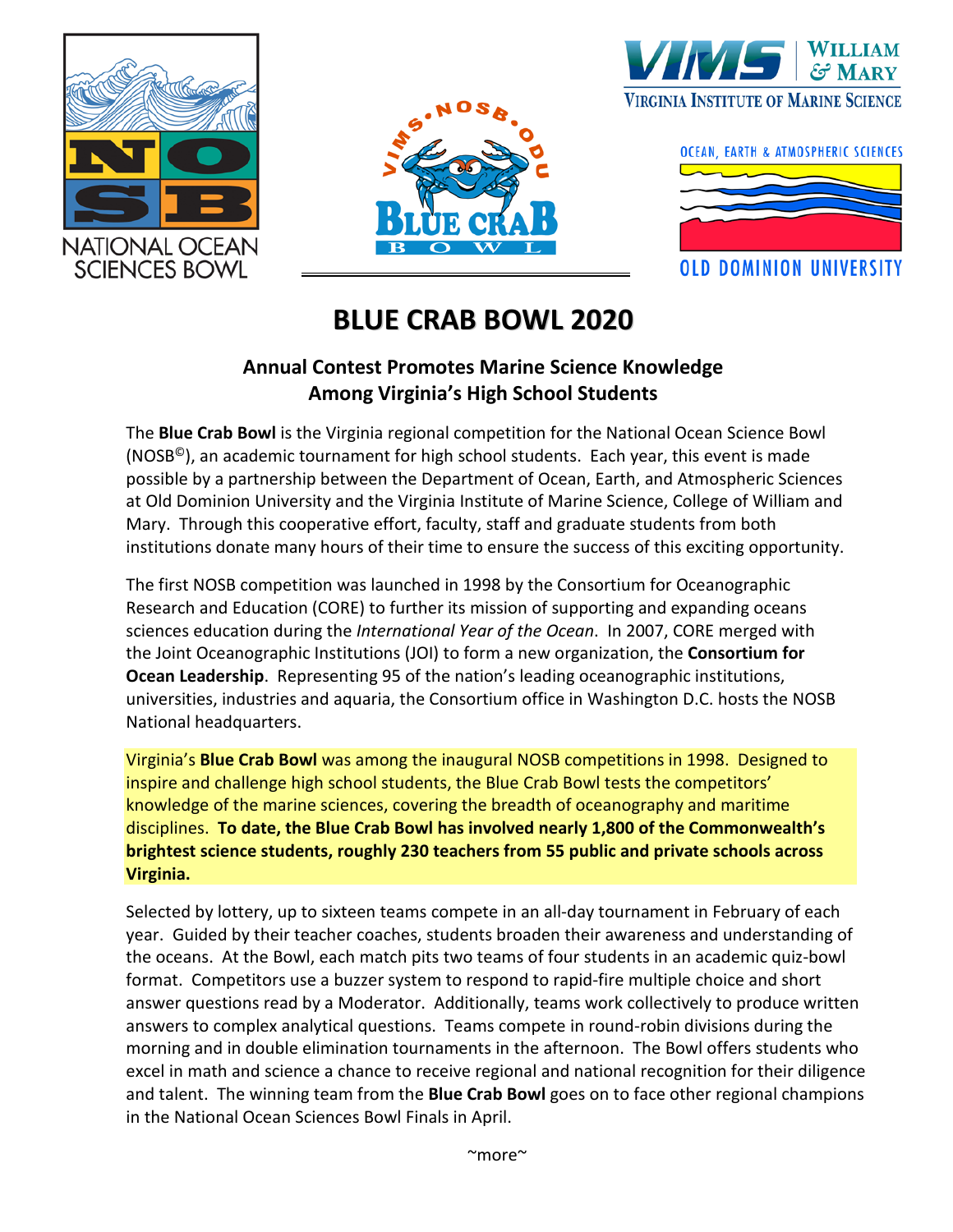







## **BLUE CRAB BOWL 2020**

## **Annual Contest Promotes Marine Science Knowledge Among Virginia's High School Students**

The **Blue Crab Bowl** is the Virginia regional competition for the National Ocean Science Bowl (NOSB<sup>©</sup>), an academic tournament for high school students. Each year, this event is made possible by a partnership between the Department of Ocean, Earth, and Atmospheric Sciences at Old Dominion University and the Virginia Institute of Marine Science, College of William and Mary. Through this cooperative effort, faculty, staff and graduate students from both institutions donate many hours of their time to ensure the success of this exciting opportunity.

The first NOSB competition was launched in 1998 by the Consortium for Oceanographic Research and Education (CORE) to further its mission of supporting and expanding oceans sciences education during the *International Year of the Ocean*. In 2007, CORE merged with the Joint Oceanographic Institutions (JOI) to form a new organization, the **Consortium for Ocean Leadership**. Representing 95 of the nation's leading oceanographic institutions, universities, industries and aquaria, the Consortium office in Washington D.C. hosts the NOSB National headquarters.

Virginia's **Blue Crab Bowl** was among the inaugural NOSB competitions in 1998. Designed to inspire and challenge high school students, the Blue Crab Bowl tests the competitors' knowledge of the marine sciences, covering the breadth of oceanography and maritime disciplines. **To date, the Blue Crab Bowl has involved nearly 1,800 of the Commonwealth's brightest science students, roughly 230 teachers from 55 public and private schools across Virginia.**

Selected by lottery, up to sixteen teams compete in an all-day tournament in February of each year. Guided by their teacher coaches, students broaden their awareness and understanding of the oceans. At the Bowl, each match pits two teams of four students in an academic quiz-bowl format. Competitors use a buzzer system to respond to rapid-fire multiple choice and short answer questions read by a Moderator. Additionally, teams work collectively to produce written answers to complex analytical questions. Teams compete in round-robin divisions during the morning and in double elimination tournaments in the afternoon. The Bowl offers students who excel in math and science a chance to receive regional and national recognition for their diligence and talent. The winning team from the **Blue Crab Bowl** goes on to face other regional champions in the National Ocean Sciences Bowl Finals in April.